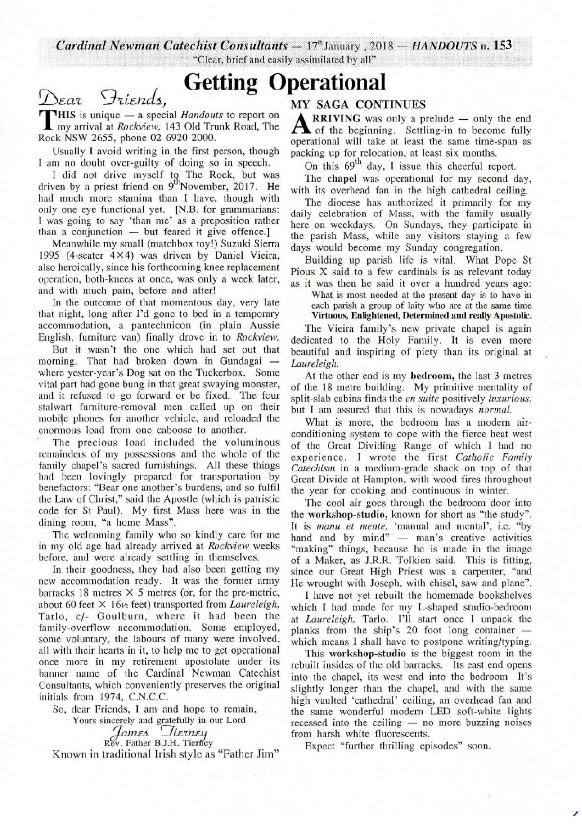**Cardinal Newman Catechist Consultants** - 17<sup>th</sup> January, 2018 - HANDOUTS n. 153 "Clear, brief and easily assimilated by all"

# **Getting Operational**

THIS is unique — a special *Handoul*<br>
my arrival at *Rockview*, 143 Old Tru<br>
Rock NSW 2655, phone 02 6920 2000. Dear Friends,<br>THIS is unique – a special *Handouts* to report on my arrival at *Rockview,* 143 Old Trunk Road, The

Usually I avoid writing in the first person, though I am no doubt over-guilty of doing so in speech.

I did not drive myself  $t<sub>0</sub>$ . The Rock, but was driven by a priest friend on 9<sup>th</sup>November, 2017. He had much more stamina than I have, though with only one eye functional yet. [N.B. for grammarians: I was going to say 'than me' as a preposition rather than a conjunction — but feared it give offence.] than a conjunction — but feared it give offence.]<br>Meanwhile my small (matchbox toy!) Suzuki Sierra

1995 (4-seater 4X4) was driven by Daniel Vieira, also heroically, since his forthcoming knee replacement operation, both-knees at once, was only a week later, and with much pain, before and after!

In the outcome of that momentous day, very late that night, long after I'd gone to bed in a temporary accommodation, a pantechnicon (in plain Aussie English, furniture van) finally drove in to *Rockview.* 

But it wasn't the one which had set out that morning. That had broken down in Gundagai where yester-year's Dog sat on the Tuckerbox. Some vital part had gone bung in that great swaying monster, and it refused to go forward or be fixed. The four stalwart furniture-removal men called up on their mobile phones for another vehicle, and reloaded the enormous load from one caboose to another.

The precious load included the voluminous remainders of my possessions and the whole of the family chapel's sacred furnishings. All these things had been lovingly prepared for transportation by benefactors: "Bear one another's burdens, and so fulfil the Law of Christ," said the Apostle (which is patristic code for St Paul). My first Mass here was in the dining room, "a home Mass".

The welcoming family who so kindly care for me in my old age had already arrived at *Rockview* weeks before, and were already settling in themselves.

In their goodness, they had also been getting my new accommodation ready. It was the former army barracks 18 metres X *5* metres (or, for the pre-metric, about 60 feet  $\times$  16 $\nu$ <sub>2</sub> feet) transported from *Laureleigh*, Tarlo, c/- Goulburn, where it had been the family-overflow accommodation. Some employed, some voluntary, the labours of many were involved, all with their hearts in it, to help me to get operational once more in my retirement apostolate under its banner name of the Cardinal Newman Catechist Consultants, which conveniently preserves the original initials from 1974, C.N.C.C.

So, dear Friends, I am and hope to remain,

Yours sincerely and gratefully in our Lord

*James Tierney*<br>*James Tierney*<br>Rev. Father B.J.H. Tierney

Known in traditional Irish style as "Father Jim"

## MY SAGA CONTINUES

**A RRIVING** was only a prelude  $-$  only the end of the beginning. Settling-in to become fully operational will take at least the same time-span as **RRIVING** was only a prelude  $-$  only the end of the beginning. Settling-in to become fully packing up for relocation, at least six months.

On this  $69<sup>th</sup>$  day, I issue this cheerful report.

The chapel was operational for my second day, with its overhead fan in the high cathedral ceiling.

The diocese has authorized it primarily for my daily celebration of Mass, with the family usually here on weekdays. On Sundays, they participate in the parish Mass, while any visitors staying a few days would become my Sunday congregation.

Building up parish life is vital. What Pope St Pious X said to a few cardinals is as relevant today as it was then he said it over a hundred years ago:

What is most needed at the present day is to have in each parish a group of laity who are at the same time

Virtuous, Enlightened, Determined and really Apostolic. The Vieira family's new private chapel is again dedicated to the Holy Family. It is even more

beautiful and inspiring of piety than its original at *Laureleigh.* 

At the other end is my bedroom, the last 3 metres of the 18 metre building. My primitive mentality of split-slab cabins finds the *en suite* positively *luxurious,*  but I am assured that this is nowadays *normal.* 

What is more, the bedroom has a modern airconditioning system to cope with the fierce heat west of the Great Dividing Range of which I had no experience. I wrote the first *Catholic Family Catechism* in a medium-grade shack on top of that Great Divide at Hampton, with wood fires throughout the year for cooking and continuous in winter.

The cool air goes through the bedroom door into the workshop-studio, known for short as "the study". It is *manu et mente*, 'manual and mental', i.e. "by hand and by mind" - man's creative activities "making" things, because he is made in the image of a Maker, as J.R.R. Tolkien said. This is fitting, since our Great High Priest was a carpenter, "and He wrought with Joseph, with chisel, saw and plane".

I have not yet rebuilt the homemade bookshelves which I had made for my L-shaped studio-bedroom at *Laureleigh,* Tarlo. I'll start once I unpack the planks from the ship's 20 foot long container which means I shall have to postpone writing/typing.

This workshop-studio is the biggest room in the rebuilt insides of the old barracks. Its east end opens into the chapel, its west end into the bedroom It's slightly longer than the chapel, and with the same high vaulted 'cathedral' ceiling, an overhead fan and high vaulted 'cathedral' ceiling, an overhead tan and<br>the same wonderful modern LED soft-white lights<br>recessed into the ceiling — no more buzzing noises recessed into the ceiling — no more buzzing noises from harsh white fluorescents.

Expect "further thrilling episodes" soon.